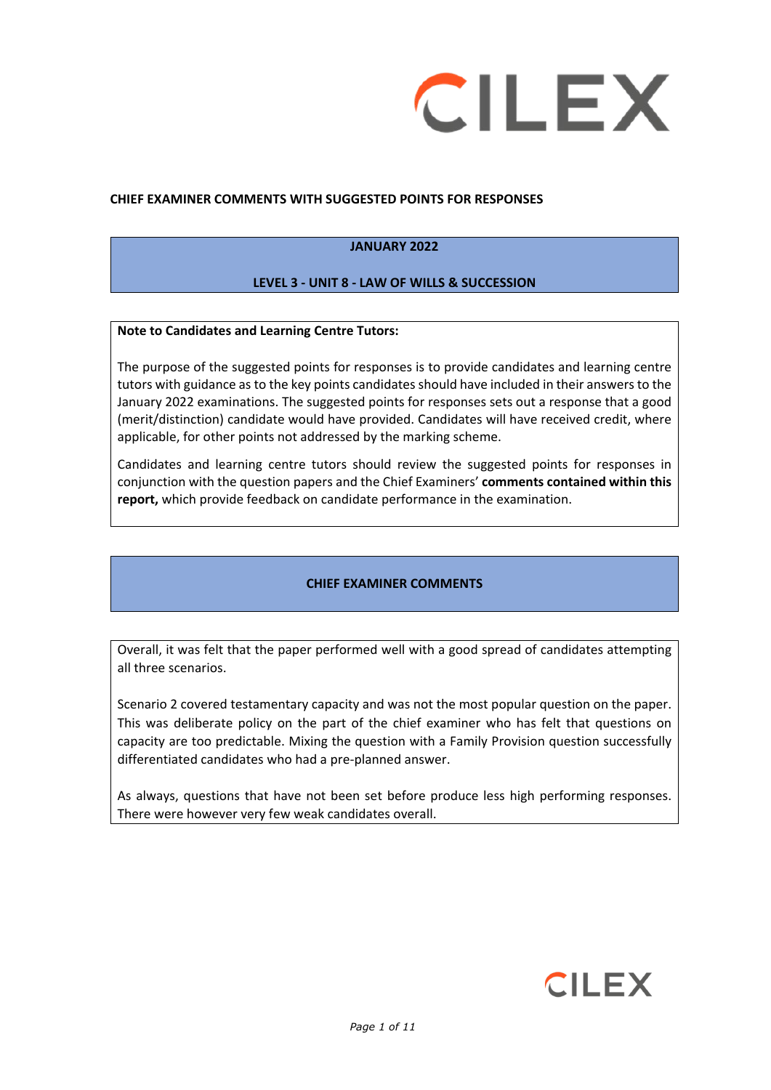

### **CHIEF EXAMINER COMMENTS WITH SUGGESTED POINTS FOR RESPONSES**

### **JANUARY 2022**

# **LEVEL 3 - UNIT 8 - LAW OF WILLS & SUCCESSION**

### **Note to Candidates and Learning Centre Tutors:**

The purpose of the suggested points for responses is to provide candidates and learning centre tutors with guidance as to the key points candidates should have included in their answers to the January 2022 examinations. The suggested points for responses sets out a response that a good (merit/distinction) candidate would have provided. Candidates will have received credit, where applicable, for other points not addressed by the marking scheme.

Candidates and learning centre tutors should review the suggested points for responses in conjunction with the question papers and the Chief Examiners' **comments contained within this report,** which provide feedback on candidate performance in the examination.

# **CHIEF EXAMINER COMMENTS**

Overall, it was felt that the paper performed well with a good spread of candidates attempting all three scenarios.

Scenario 2 covered testamentary capacity and was not the most popular question on the paper. This was deliberate policy on the part of the chief examiner who has felt that questions on capacity are too predictable. Mixing the question with a Family Provision question successfully differentiated candidates who had a pre-planned answer.

As always, questions that have not been set before produce less high performing responses. There were however very few weak candidates overall.

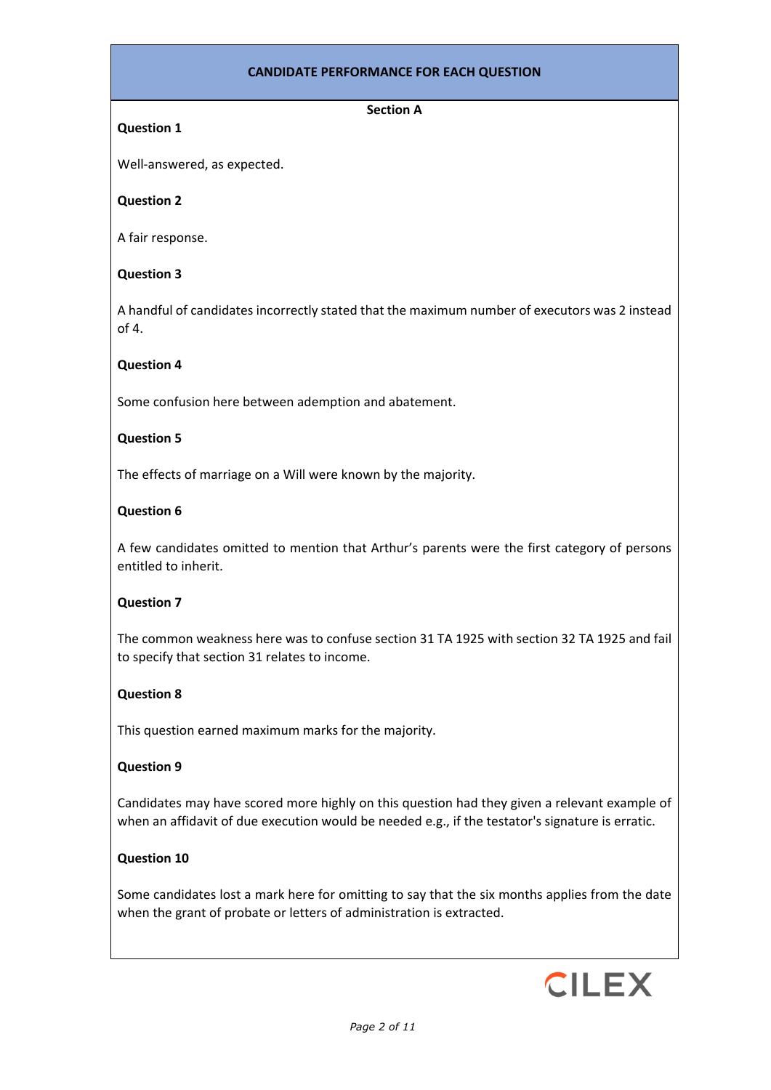# **CANDIDATE PERFORMANCE FOR EACH QUESTION**

## **Section A**

# **Question 1**

Well-answered, as expected.

# **Question 2**

A fair response.

# **Question 3**

A handful of candidates incorrectly stated that the maximum number of executors was 2 instead of 4.

### **Question 4**

Some confusion here between ademption and abatement.

### **Question 5**

The effects of marriage on a Will were known by the majority.

### **Question 6**

A few candidates omitted to mention that Arthur's parents were the first category of persons entitled to inherit.

# **Question 7**

The common weakness here was to confuse section 31 TA 1925 with section 32 TA 1925 and fail to specify that section 31 relates to income.

### **Question 8**

This question earned maximum marks for the majority.

### **Question 9**

Candidates may have scored more highly on this question had they given a relevant example of when an affidavit of due execution would be needed e.g., if the testator's signature is erratic.

# **Question 10**

Some candidates lost a mark here for omitting to say that the six months applies from the date when the grant of probate or letters of administration is extracted.

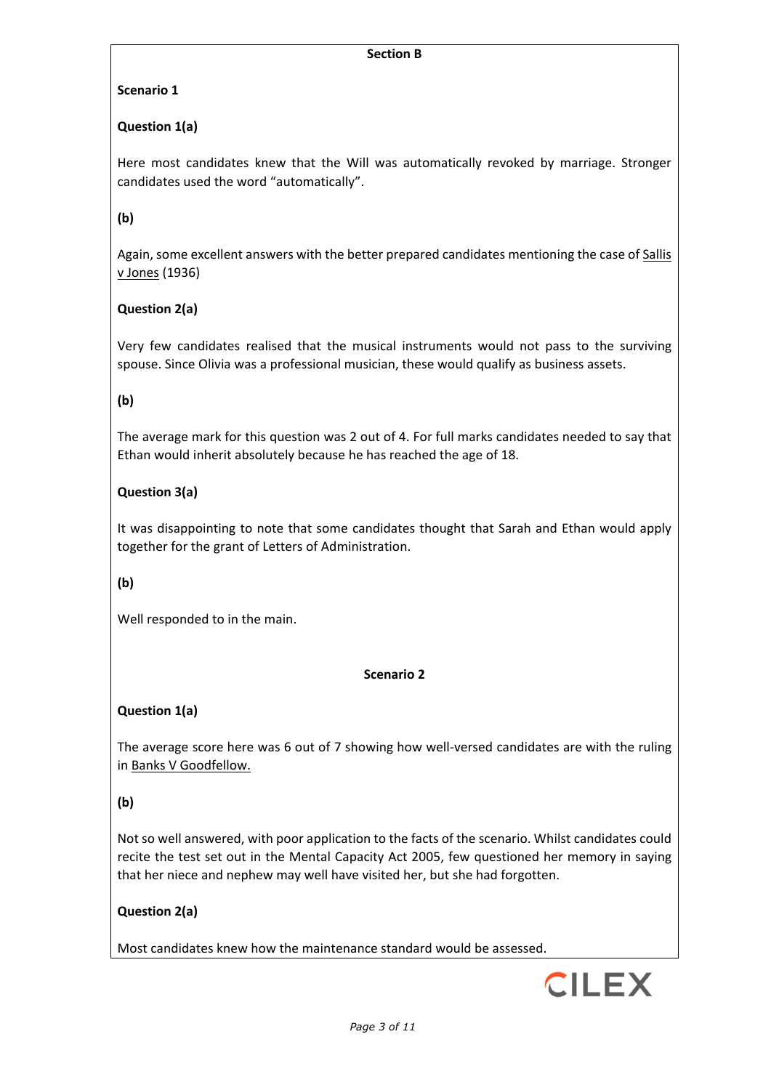### **Section B**

# **Scenario 1**

# **Question 1(a)**

Here most candidates knew that the Will was automatically revoked by marriage. Stronger candidates used the word "automatically".

# **(b)**

Again, some excellent answers with the better prepared candidates mentioning the case of Sallis v Jones (1936)

# **Question 2(a)**

Very few candidates realised that the musical instruments would not pass to the surviving spouse. Since Olivia was a professional musician, these would qualify as business assets.

# **(b)**

The average mark for this question was 2 out of 4. For full marks candidates needed to say that Ethan would inherit absolutely because he has reached the age of 18.

# **Question 3(a)**

It was disappointing to note that some candidates thought that Sarah and Ethan would apply together for the grant of Letters of Administration.

# **(b)**

Well responded to in the main.

### **Scenario 2**

# **Question 1(a)**

The average score here was 6 out of 7 showing how well-versed candidates are with the ruling in Banks V Goodfellow.

# **(b)**

Not so well answered, with poor application to the facts of the scenario. Whilst candidates could recite the test set out in the Mental Capacity Act 2005, few questioned her memory in saying that her niece and nephew may well have visited her, but she had forgotten.

# **Question 2(a)**

Most candidates knew how the maintenance standard would be assessed.

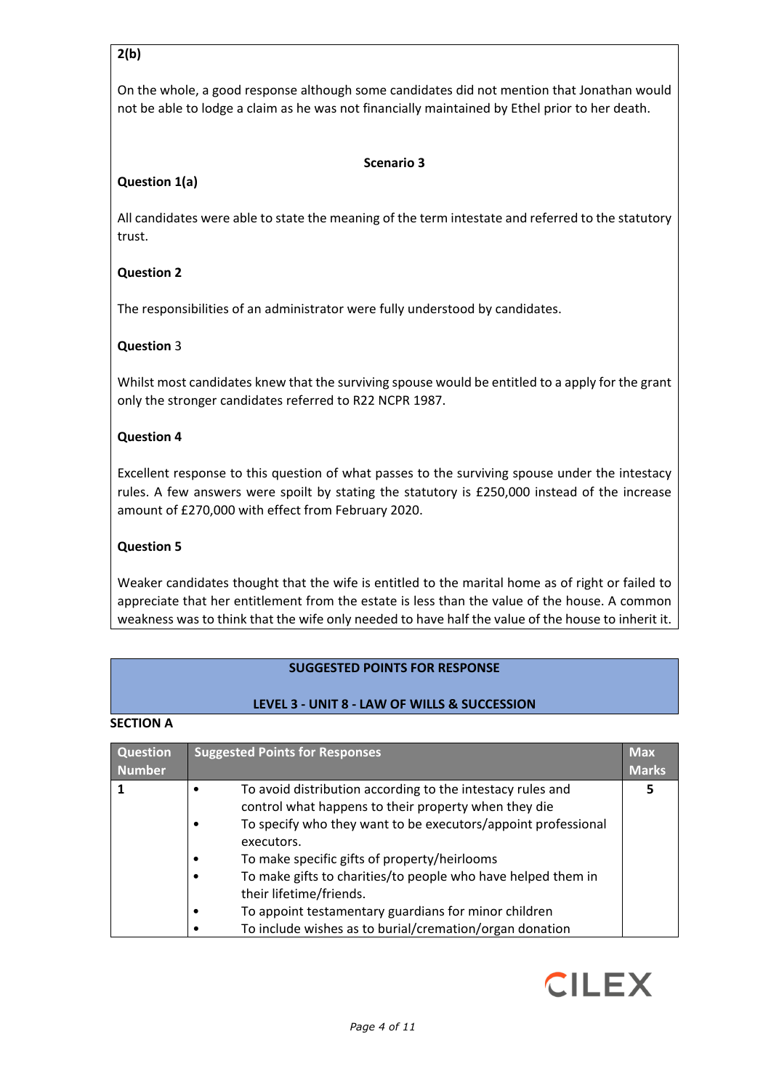# **2(b)**

On the whole, a good response although some candidates did not mention that Jonathan would not be able to lodge a claim as he was not financially maintained by Ethel prior to her death.

## **Scenario 3**

# **Question 1(a)**

All candidates were able to state the meaning of the term intestate and referred to the statutory trust.

# **Question 2**

The responsibilities of an administrator were fully understood by candidates.

# **Question** 3

Whilst most candidates knew that the surviving spouse would be entitled to a apply for the grant only the stronger candidates referred to R22 NCPR 1987.

### **Question 4**

Excellent response to this question of what passes to the surviving spouse under the intestacy rules. A few answers were spoilt by stating the statutory is £250,000 instead of the increase amount of £270,000 with effect from February 2020.

## **Question 5**

Weaker candidates thought that the wife is entitled to the marital home as of right or failed to appreciate that her entitlement from the estate is less than the value of the house. A common weakness was to think that the wife only needed to have half the value of the house to inherit it.

### **SUGGESTED POINTS FOR RESPONSE**

### **LEVEL 3 - UNIT 8 - LAW OF WILLS & SUCCESSION**

### **SECTION A**

| <b>Question</b> | <b>Suggested Points for Responses</b>                         | <b>Max</b>   |
|-----------------|---------------------------------------------------------------|--------------|
| <b>Number</b>   |                                                               | <b>Marks</b> |
|                 | To avoid distribution according to the intestacy rules and    | 5            |
|                 | control what happens to their property when they die          |              |
|                 | To specify who they want to be executors/appoint professional |              |
|                 | executors.                                                    |              |
|                 | To make specific gifts of property/heirlooms                  |              |
|                 | To make gifts to charities/to people who have helped them in  |              |
|                 | their lifetime/friends.                                       |              |
|                 | To appoint testamentary guardians for minor children          |              |
|                 | To include wishes as to burial/cremation/organ donation       |              |

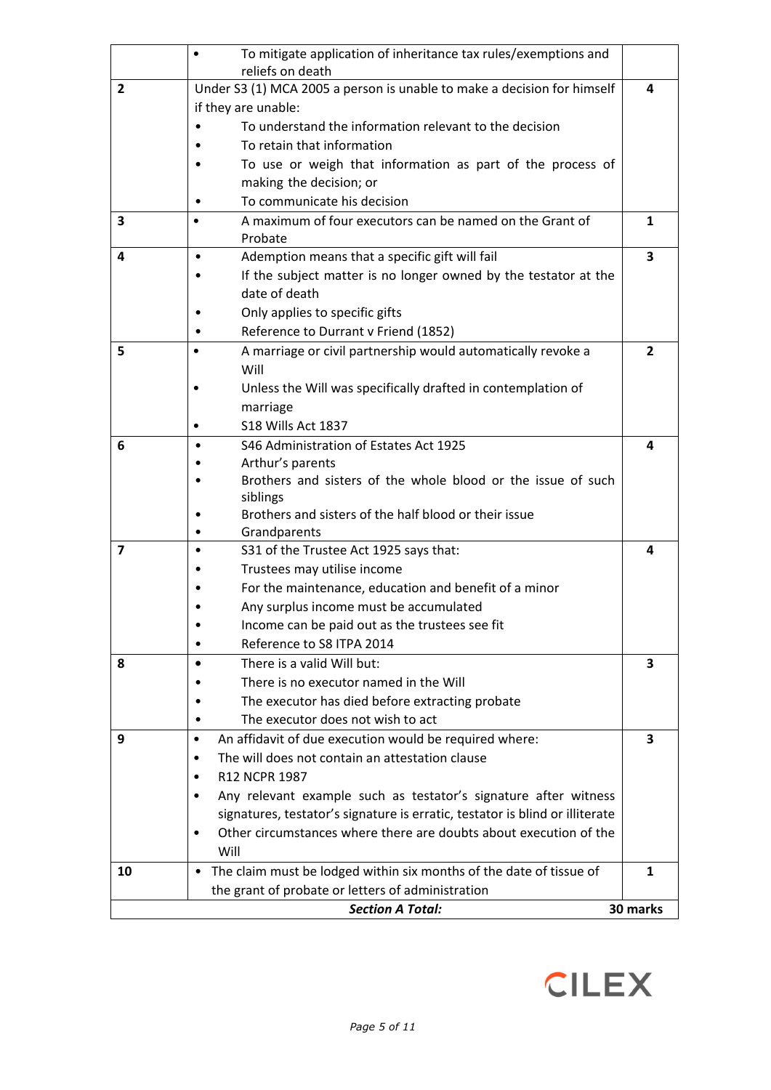|                         | $\bullet$ | To mitigate application of inheritance tax rules/exemptions and<br>reliefs on death |          |
|-------------------------|-----------|-------------------------------------------------------------------------------------|----------|
| $\overline{2}$          |           | Under S3 (1) MCA 2005 a person is unable to make a decision for himself             | 4        |
|                         |           | if they are unable:                                                                 |          |
|                         |           | To understand the information relevant to the decision                              |          |
|                         |           | To retain that information                                                          |          |
|                         |           | To use or weigh that information as part of the process of                          |          |
|                         |           | making the decision; or                                                             |          |
|                         |           | To communicate his decision                                                         |          |
| $\overline{\mathbf{3}}$ | $\bullet$ | A maximum of four executors can be named on the Grant of<br>Probate                 | 1        |
| 4                       | $\bullet$ | Ademption means that a specific gift will fail                                      | 3        |
|                         |           | If the subject matter is no longer owned by the testator at the                     |          |
|                         |           | date of death                                                                       |          |
|                         |           | Only applies to specific gifts                                                      |          |
|                         |           | Reference to Durrant v Friend (1852)                                                |          |
| 5                       | $\bullet$ | A marriage or civil partnership would automatically revoke a<br>Will                | 2        |
|                         |           | Unless the Will was specifically drafted in contemplation of                        |          |
|                         |           | marriage                                                                            |          |
|                         |           | S18 Wills Act 1837                                                                  |          |
| 6                       |           | S46 Administration of Estates Act 1925                                              | 4        |
|                         |           | Arthur's parents                                                                    |          |
|                         |           | Brothers and sisters of the whole blood or the issue of such                        |          |
|                         |           | siblings<br>Brothers and sisters of the half blood or their issue                   |          |
|                         |           | Grandparents                                                                        |          |
| $\overline{7}$          |           | S31 of the Trustee Act 1925 says that:                                              | 4        |
|                         |           | Trustees may utilise income                                                         |          |
|                         |           | For the maintenance, education and benefit of a minor                               |          |
|                         |           | Any surplus income must be accumulated                                              |          |
|                         | ٠         | Income can be paid out as the trustees see fit                                      |          |
|                         |           | Reference to S8 ITPA 2014                                                           |          |
| 8                       | $\bullet$ | There is a valid Will but:                                                          | 3        |
|                         |           | There is no executor named in the Will                                              |          |
|                         |           | The executor has died before extracting probate                                     |          |
|                         |           | The executor does not wish to act                                                   |          |
| 9                       | $\bullet$ | An affidavit of due execution would be required where:                              | 3        |
|                         | ٠         | The will does not contain an attestation clause                                     |          |
|                         | ٠         | R12 NCPR 1987                                                                       |          |
|                         | ٠         | Any relevant example such as testator's signature after witness                     |          |
|                         |           | signatures, testator's signature is erratic, testator is blind or illiterate        |          |
|                         | ٠         | Other circumstances where there are doubts about execution of the                   |          |
|                         |           | Will                                                                                |          |
| 10                      | ٠         | The claim must be lodged within six months of the date of tissue of                 | 1        |
|                         |           | the grant of probate or letters of administration                                   |          |
|                         |           | <b>Section A Total:</b>                                                             | 30 marks |

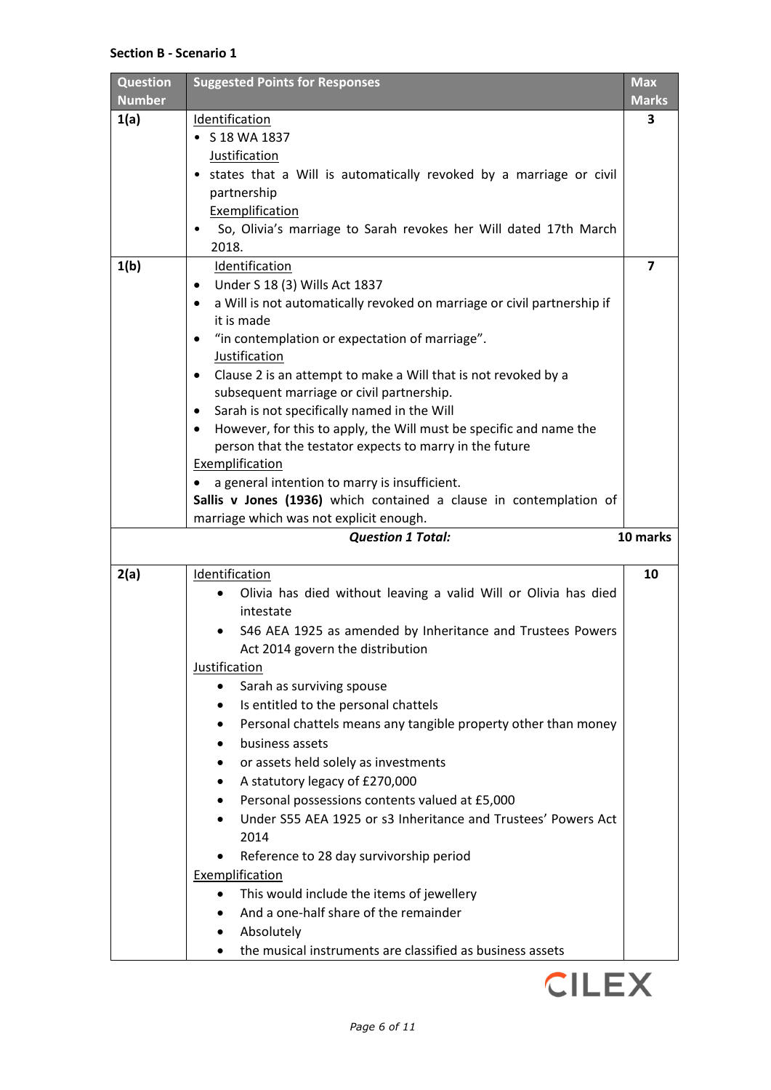### **Section B - Scenario 1**

| <b>Question</b><br><b>Number</b> | <b>Suggested Points for Responses</b>                                              | <b>Max</b><br><b>Marks</b> |
|----------------------------------|------------------------------------------------------------------------------------|----------------------------|
| 1(a)                             | Identification                                                                     | 3                          |
|                                  | $\bullet$ S 18 WA 1837                                                             |                            |
|                                  | Justification                                                                      |                            |
|                                  | • states that a Will is automatically revoked by a marriage or civil               |                            |
|                                  | partnership                                                                        |                            |
|                                  | Exemplification                                                                    |                            |
|                                  | So, Olivia's marriage to Sarah revokes her Will dated 17th March                   |                            |
|                                  | 2018.                                                                              |                            |
| 1(b)                             | Identification                                                                     | $\overline{\mathbf{z}}$    |
|                                  | Under S 18 (3) Wills Act 1837<br>٠                                                 |                            |
|                                  | a Will is not automatically revoked on marriage or civil partnership if<br>٠       |                            |
|                                  | it is made                                                                         |                            |
|                                  | "in contemplation or expectation of marriage".<br>٠                                |                            |
|                                  | Justification                                                                      |                            |
|                                  | Clause 2 is an attempt to make a Will that is not revoked by a<br>$\bullet$        |                            |
|                                  | subsequent marriage or civil partnership.                                          |                            |
|                                  | Sarah is not specifically named in the Will<br>٠                                   |                            |
|                                  | However, for this to apply, the Will must be specific and name the<br>٠            |                            |
|                                  | person that the testator expects to marry in the future                            |                            |
|                                  | Exemplification                                                                    |                            |
|                                  | a general intention to marry is insufficient.                                      |                            |
|                                  | Sallis v Jones (1936) which contained a clause in contemplation of                 |                            |
|                                  | marriage which was not explicit enough.                                            |                            |
|                                  |                                                                                    |                            |
|                                  | <b>Question 1 Total:</b>                                                           | 10 marks                   |
| 2(a)                             | Identification                                                                     | 10                         |
|                                  | Olivia has died without leaving a valid Will or Olivia has died                    |                            |
|                                  | intestate                                                                          |                            |
|                                  | S46 AEA 1925 as amended by Inheritance and Trustees Powers                         |                            |
|                                  | Act 2014 govern the distribution                                                   |                            |
|                                  | Justification                                                                      |                            |
|                                  | Sarah as surviving spouse                                                          |                            |
|                                  | Is entitled to the personal chattels                                               |                            |
|                                  | Personal chattels means any tangible property other than money                     |                            |
|                                  | business assets                                                                    |                            |
|                                  | or assets held solely as investments                                               |                            |
|                                  | A statutory legacy of £270,000                                                     |                            |
|                                  | Personal possessions contents valued at £5,000                                     |                            |
|                                  | Under S55 AEA 1925 or s3 Inheritance and Trustees' Powers Act                      |                            |
|                                  | 2014                                                                               |                            |
|                                  | Reference to 28 day survivorship period                                            |                            |
|                                  | Exemplification                                                                    |                            |
|                                  |                                                                                    |                            |
|                                  | This would include the items of jewellery<br>And a one-half share of the remainder |                            |
|                                  |                                                                                    |                            |
|                                  | Absolutely<br>the musical instruments are classified as business assets            |                            |

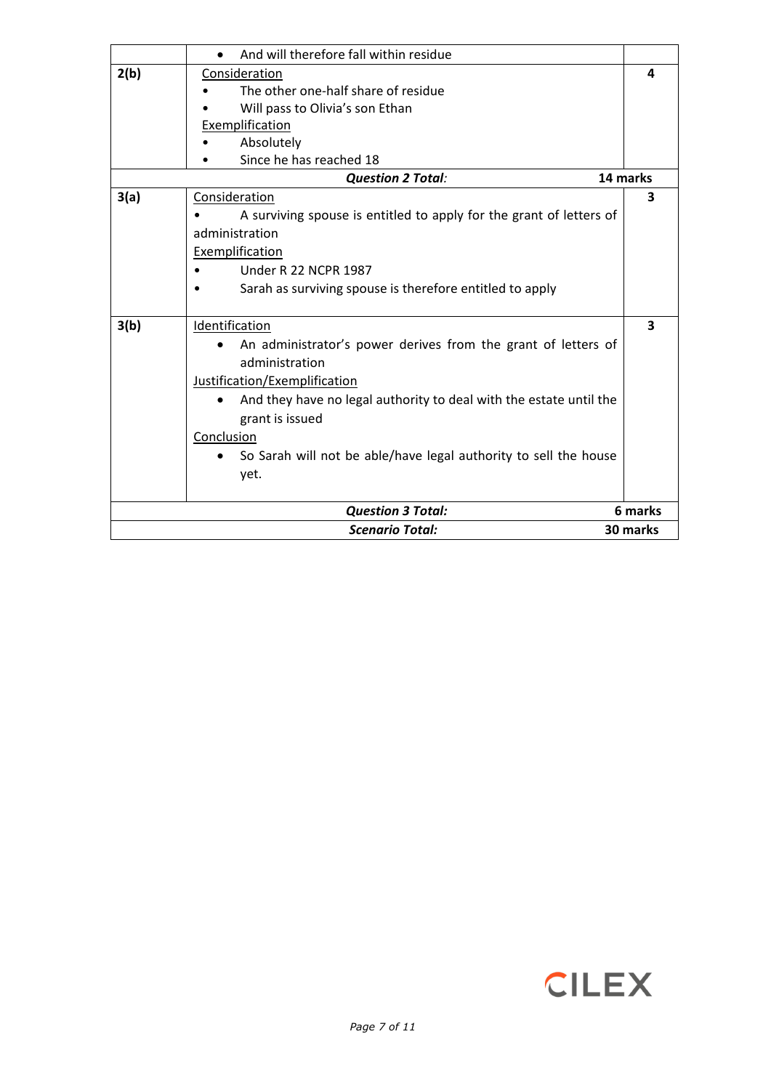|      | And will therefore fall within residue                              |          |
|------|---------------------------------------------------------------------|----------|
| 2(b) | Consideration                                                       | 4        |
|      | The other one-half share of residue                                 |          |
|      | Will pass to Olivia's son Ethan                                     |          |
|      | Exemplification                                                     |          |
|      | Absolutely                                                          |          |
|      | Since he has reached 18                                             |          |
|      | <b>Question 2 Total:</b>                                            | 14 marks |
| 3(a) | Consideration                                                       | 3        |
|      | A surviving spouse is entitled to apply for the grant of letters of |          |
|      | administration                                                      |          |
|      | Exemplification                                                     |          |
|      | <b>Under R 22 NCPR 1987</b>                                         |          |
|      | Sarah as surviving spouse is therefore entitled to apply            |          |
| 3(b) | Identification                                                      | 3        |
|      | An administrator's power derives from the grant of letters of       |          |
|      | administration                                                      |          |
|      | Justification/Exemplification                                       |          |
|      | And they have no legal authority to deal with the estate until the  |          |
|      | grant is issued<br>Conclusion                                       |          |
|      |                                                                     |          |
|      | So Sarah will not be able/have legal authority to sell the house    |          |
|      | yet.                                                                |          |
|      | <b>Question 3 Total:</b>                                            | 6 marks  |
|      | <b>Scenario Total:</b>                                              | 30 marks |

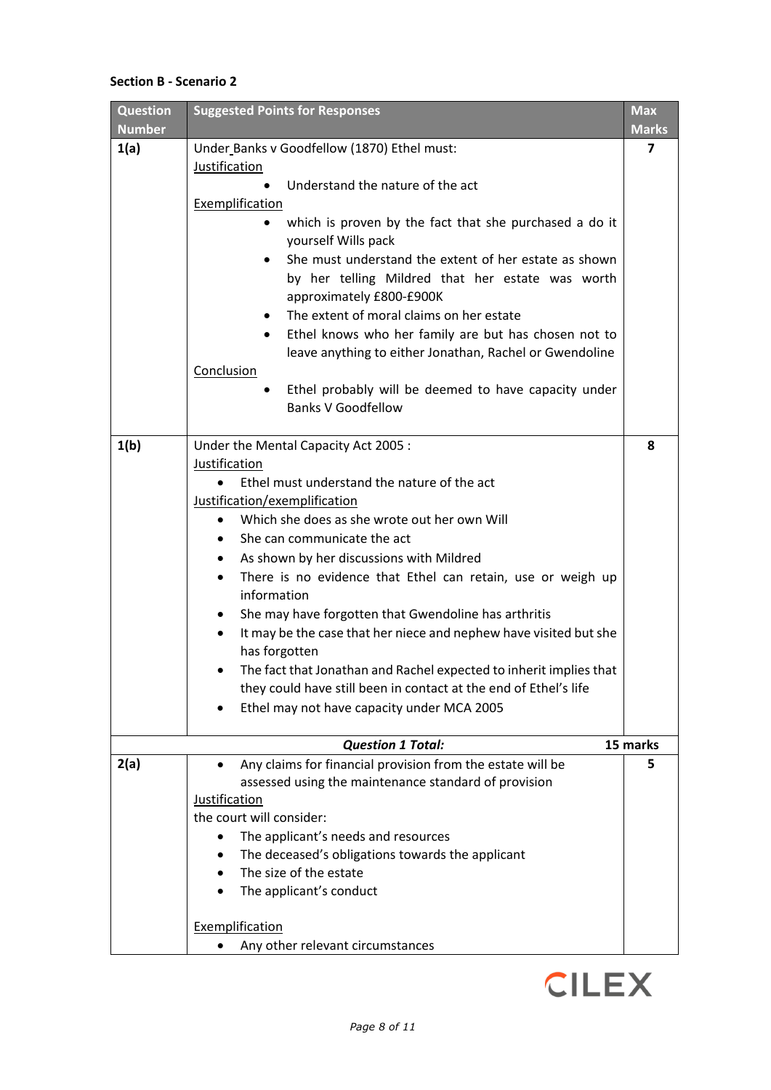## **Section B - Scenario 2**

| <b>Number</b><br>1(a)<br>Under Banks v Goodfellow (1870) Ethel must:<br>Justification<br>Understand the nature of the act<br>Exemplification<br>which is proven by the fact that she purchased a do it<br>yourself Wills pack<br>She must understand the extent of her estate as shown<br>$\bullet$<br>by her telling Mildred that her estate was worth<br>approximately £800-£900K<br>The extent of moral claims on her estate<br>Ethel knows who her family are but has chosen not to<br>$\bullet$<br>leave anything to either Jonathan, Rachel or Gwendoline | <b>Marks</b><br>7<br>8 |
|-----------------------------------------------------------------------------------------------------------------------------------------------------------------------------------------------------------------------------------------------------------------------------------------------------------------------------------------------------------------------------------------------------------------------------------------------------------------------------------------------------------------------------------------------------------------|------------------------|
|                                                                                                                                                                                                                                                                                                                                                                                                                                                                                                                                                                 |                        |
|                                                                                                                                                                                                                                                                                                                                                                                                                                                                                                                                                                 |                        |
|                                                                                                                                                                                                                                                                                                                                                                                                                                                                                                                                                                 |                        |
|                                                                                                                                                                                                                                                                                                                                                                                                                                                                                                                                                                 |                        |
|                                                                                                                                                                                                                                                                                                                                                                                                                                                                                                                                                                 |                        |
|                                                                                                                                                                                                                                                                                                                                                                                                                                                                                                                                                                 |                        |
|                                                                                                                                                                                                                                                                                                                                                                                                                                                                                                                                                                 |                        |
|                                                                                                                                                                                                                                                                                                                                                                                                                                                                                                                                                                 |                        |
|                                                                                                                                                                                                                                                                                                                                                                                                                                                                                                                                                                 |                        |
| Conclusion                                                                                                                                                                                                                                                                                                                                                                                                                                                                                                                                                      |                        |
| Ethel probably will be deemed to have capacity under<br><b>Banks V Goodfellow</b>                                                                                                                                                                                                                                                                                                                                                                                                                                                                               |                        |
| 1(b)<br>Under the Mental Capacity Act 2005 :                                                                                                                                                                                                                                                                                                                                                                                                                                                                                                                    |                        |
| Justification                                                                                                                                                                                                                                                                                                                                                                                                                                                                                                                                                   |                        |
| Ethel must understand the nature of the act                                                                                                                                                                                                                                                                                                                                                                                                                                                                                                                     |                        |
| Justification/exemplification                                                                                                                                                                                                                                                                                                                                                                                                                                                                                                                                   |                        |
| Which she does as she wrote out her own Will                                                                                                                                                                                                                                                                                                                                                                                                                                                                                                                    |                        |
| She can communicate the act                                                                                                                                                                                                                                                                                                                                                                                                                                                                                                                                     |                        |
| As shown by her discussions with Mildred                                                                                                                                                                                                                                                                                                                                                                                                                                                                                                                        |                        |
| There is no evidence that Ethel can retain, use or weigh up<br>information                                                                                                                                                                                                                                                                                                                                                                                                                                                                                      |                        |
| She may have forgotten that Gwendoline has arthritis<br>٠                                                                                                                                                                                                                                                                                                                                                                                                                                                                                                       |                        |
| It may be the case that her niece and nephew have visited but she<br>$\bullet$<br>has forgotten                                                                                                                                                                                                                                                                                                                                                                                                                                                                 |                        |
| The fact that Jonathan and Rachel expected to inherit implies that<br>they could have still been in contact at the end of Ethel's life                                                                                                                                                                                                                                                                                                                                                                                                                          |                        |
| Ethel may not have capacity under MCA 2005                                                                                                                                                                                                                                                                                                                                                                                                                                                                                                                      |                        |
| <b>Question 1 Total:</b><br>15 marks                                                                                                                                                                                                                                                                                                                                                                                                                                                                                                                            |                        |
| 2(a)<br>Any claims for financial provision from the estate will be<br>assessed using the maintenance standard of provision                                                                                                                                                                                                                                                                                                                                                                                                                                      | 5                      |
| Justification                                                                                                                                                                                                                                                                                                                                                                                                                                                                                                                                                   |                        |
| the court will consider:                                                                                                                                                                                                                                                                                                                                                                                                                                                                                                                                        |                        |
| The applicant's needs and resources                                                                                                                                                                                                                                                                                                                                                                                                                                                                                                                             |                        |
| The deceased's obligations towards the applicant                                                                                                                                                                                                                                                                                                                                                                                                                                                                                                                |                        |
| The size of the estate                                                                                                                                                                                                                                                                                                                                                                                                                                                                                                                                          |                        |
| The applicant's conduct                                                                                                                                                                                                                                                                                                                                                                                                                                                                                                                                         |                        |
| Exemplification                                                                                                                                                                                                                                                                                                                                                                                                                                                                                                                                                 |                        |
| Any other relevant circumstances                                                                                                                                                                                                                                                                                                                                                                                                                                                                                                                                |                        |

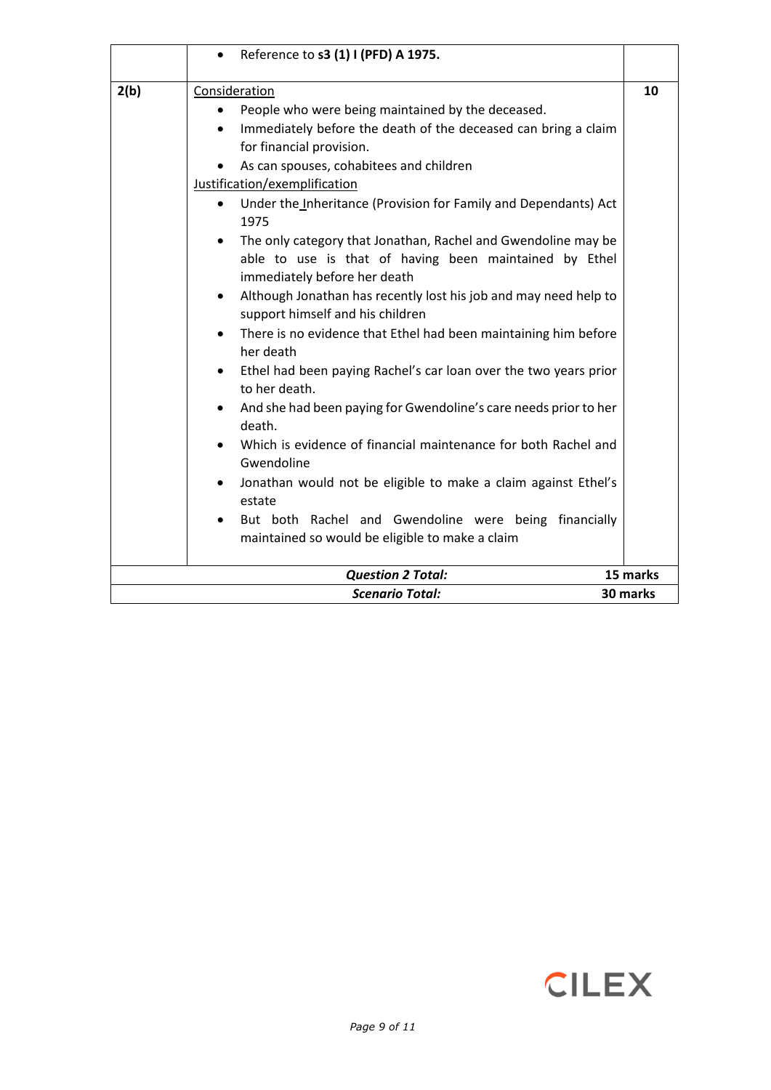|      | Reference to s3 (1) I (PFD) A 1975.                                                                                                                                                                                                                                                                                                                                                                                                                                                                                                                                                                                                                                                                                                                                                                                                                                                                                                                                                                                                                                                                       |          |
|------|-----------------------------------------------------------------------------------------------------------------------------------------------------------------------------------------------------------------------------------------------------------------------------------------------------------------------------------------------------------------------------------------------------------------------------------------------------------------------------------------------------------------------------------------------------------------------------------------------------------------------------------------------------------------------------------------------------------------------------------------------------------------------------------------------------------------------------------------------------------------------------------------------------------------------------------------------------------------------------------------------------------------------------------------------------------------------------------------------------------|----------|
| 2(b) | Consideration<br>People who were being maintained by the deceased.<br>Immediately before the death of the deceased can bring a claim<br>$\bullet$<br>for financial provision.<br>As can spouses, cohabitees and children<br>Justification/exemplification<br>Under the Inheritance (Provision for Family and Dependants) Act<br>1975<br>The only category that Jonathan, Rachel and Gwendoline may be<br>$\bullet$<br>able to use is that of having been maintained by Ethel<br>immediately before her death<br>Although Jonathan has recently lost his job and may need help to<br>$\bullet$<br>support himself and his children<br>There is no evidence that Ethel had been maintaining him before<br>her death<br>Ethel had been paying Rachel's car loan over the two years prior<br>to her death.<br>And she had been paying for Gwendoline's care needs prior to her<br>death.<br>Which is evidence of financial maintenance for both Rachel and<br>Gwendoline<br>Jonathan would not be eligible to make a claim against Ethel's<br>estate<br>But both Rachel and Gwendoline were being financially | 10       |
|      | maintained so would be eligible to make a claim                                                                                                                                                                                                                                                                                                                                                                                                                                                                                                                                                                                                                                                                                                                                                                                                                                                                                                                                                                                                                                                           |          |
|      | <b>Question 2 Total:</b>                                                                                                                                                                                                                                                                                                                                                                                                                                                                                                                                                                                                                                                                                                                                                                                                                                                                                                                                                                                                                                                                                  | 15 marks |
|      | <b>Scenario Total:</b>                                                                                                                                                                                                                                                                                                                                                                                                                                                                                                                                                                                                                                                                                                                                                                                                                                                                                                                                                                                                                                                                                    | 30 marks |

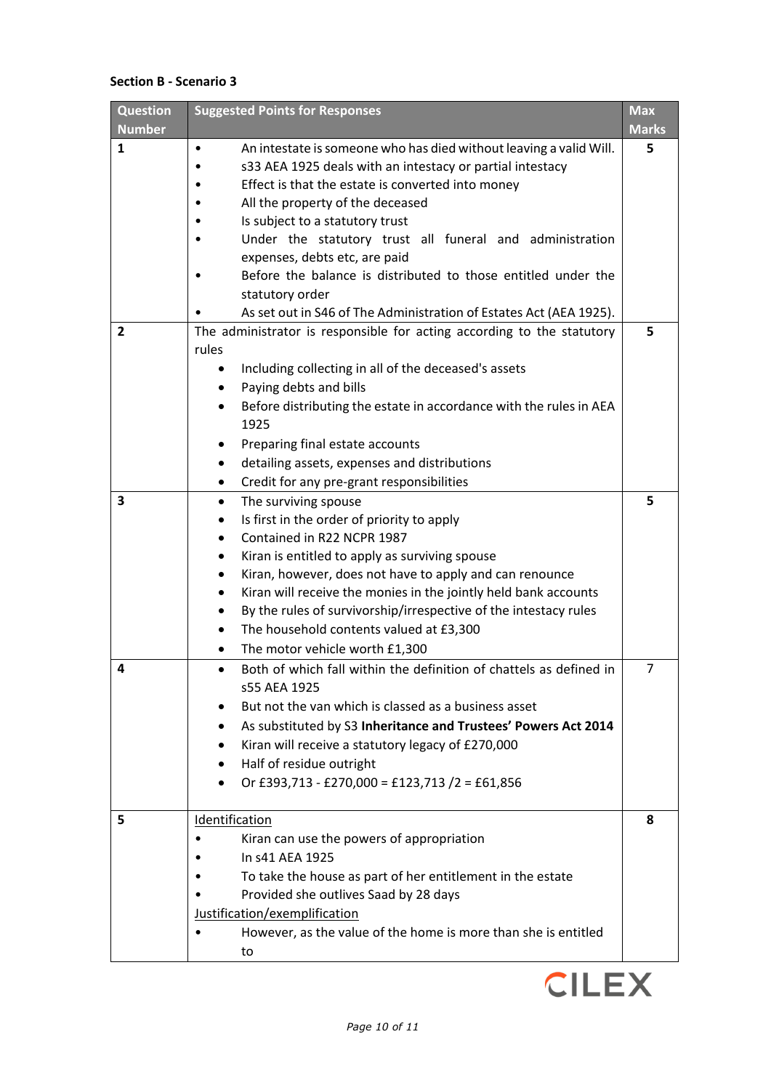# **Section B - Scenario 3**

| <b>Question</b> | <b>Suggested Points for Responses</b>                                           | <b>Max</b>   |
|-----------------|---------------------------------------------------------------------------------|--------------|
| <b>Number</b>   |                                                                                 | <b>Marks</b> |
| 1               | An intestate is someone who has died without leaving a valid Will.<br>$\bullet$ | 5            |
|                 | s33 AEA 1925 deals with an intestacy or partial intestacy                       |              |
|                 | Effect is that the estate is converted into money                               |              |
|                 | All the property of the deceased                                                |              |
|                 | Is subject to a statutory trust                                                 |              |
|                 | Under the statutory trust all funeral and administration                        |              |
|                 | expenses, debts etc, are paid                                                   |              |
|                 | Before the balance is distributed to those entitled under the                   |              |
|                 | statutory order                                                                 |              |
|                 | As set out in S46 of The Administration of Estates Act (AEA 1925).              |              |
| 2               | The administrator is responsible for acting according to the statutory<br>rules | 5            |
|                 | Including collecting in all of the deceased's assets<br>$\bullet$               |              |
|                 | Paying debts and bills                                                          |              |
|                 | Before distributing the estate in accordance with the rules in AEA<br>$\bullet$ |              |
|                 | 1925                                                                            |              |
|                 | Preparing final estate accounts<br>٠                                            |              |
|                 | detailing assets, expenses and distributions<br>$\bullet$                       |              |
|                 | Credit for any pre-grant responsibilities                                       |              |
| 3               | The surviving spouse<br>$\bullet$                                               | 5            |
|                 | Is first in the order of priority to apply<br>٠                                 |              |
|                 | Contained in R22 NCPR 1987<br>$\bullet$                                         |              |
|                 | Kiran is entitled to apply as surviving spouse<br>٠                             |              |
|                 | Kiran, however, does not have to apply and can renounce<br>٠                    |              |
|                 | Kiran will receive the monies in the jointly held bank accounts<br>٠            |              |
|                 | By the rules of survivorship/irrespective of the intestacy rules<br>٠           |              |
|                 | The household contents valued at £3,300<br>٠                                    |              |
|                 | The motor vehicle worth £1,300<br>$\bullet$                                     |              |
| 4               | Both of which fall within the definition of chattels as defined in<br>$\bullet$ | 7            |
|                 | s55 AEA 1925                                                                    |              |
|                 | But not the van which is classed as a business asset                            |              |
|                 | As substituted by S3 Inheritance and Trustees' Powers Act 2014                  |              |
|                 | Kiran will receive a statutory legacy of £270,000                               |              |
|                 | Half of residue outright<br>$\bullet$                                           |              |
|                 | Or £393,713 - £270,000 = £123,713 /2 = £61,856                                  |              |
| 5               | Identification                                                                  | 8            |
|                 | Kiran can use the powers of appropriation                                       |              |
|                 | In s41 AEA 1925                                                                 |              |
|                 | To take the house as part of her entitlement in the estate                      |              |
|                 | Provided she outlives Saad by 28 days                                           |              |
|                 | Justification/exemplification                                                   |              |
|                 | However, as the value of the home is more than she is entitled                  |              |
|                 | to                                                                              |              |